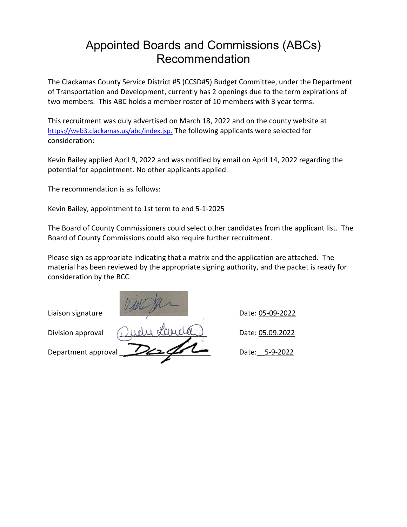## Appointed Boards and Commissions (ABCs) Recommendation

The Clackamas County Service District #5 (CCSD#5) Budget Committee, under the Department of Transportation and Development, currently has 2 openings due to the term expirations of two members. This ABC holds a member roster of 10 members with 3 year terms.

This recruitment was duly advertised on March 18, 2022 and on the county website at [https://web3.clackamas.us/abc/index.jsp.](https://web3.clackamas.us/abc/index.jsp) The following applicants were selected for consideration:

Kevin Bailey applied April 9, 2022 and was notified by email on April 14, 2022 regarding the potential for appointment. No other applicants applied.

The recommendation is as follows:

Kevin Bailey, appointment to 1st term to end 5-1-2025

The Board of County Commissioners could select other candidates from the applicant list. The Board of County Commissions could also require further recruitment.

Please sign as appropriate indicating that a matrix and the application are attached. The material has been reviewed by the appropriate signing authority, and the packet is ready for consideration by the BCC.

Liaison signature Date: 05-09-2022 Division approval Date: <u>05.09.2022</u> Department approval  $\sim$   $\sim$   $\sim$   $\sim$   $\sim$  Date: \_5-9-2022